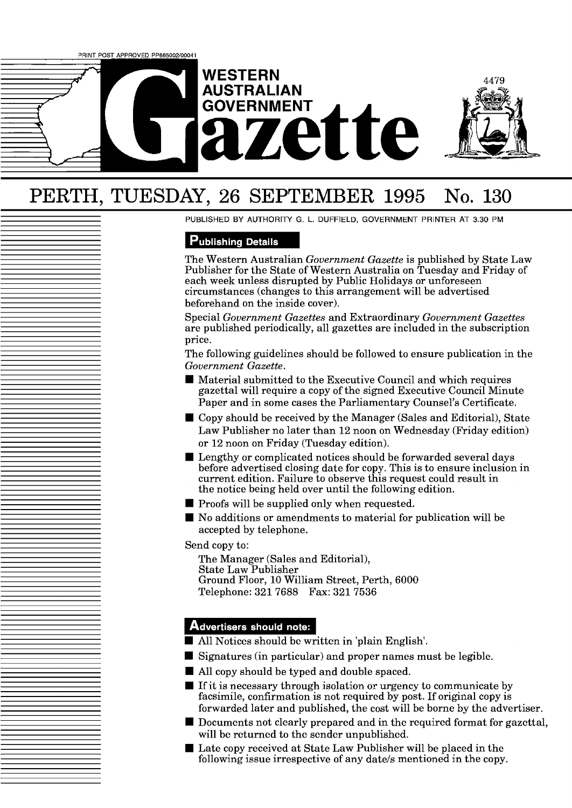

# PERTH, TUESDAY, 26 SEPTEMBER **1995** No. **130**

PUBLISHED BY AUTHORITY G. L. DUFFIELD, GOVERNMENT PRINTER AT 3.30 PM

### **Publishing Details**

The Western Australian *Government Gazette* is published by State Law Publisher for the State of Western Australia on Tuesday and Friday of each week unless disrupted by Public Holidays or unforeseen circumstances (changes to this arrangement will be advertised beforehand on the inside cover).

Special *Government Gazettes* and Extraordinary *Government Gazettes*  are published periodically, all gazettes are included in the subscription price.

The following guidelines should be followed to ensure publication in the *Government Gazette.* 

- Material submitted to the Executive Council and which requires gazettal will require a copy of the signed Executive Council Minute Paper and in some cases the Parliamentary Counsel's Certificate.
- Copy should be received by the Manager (Sales and Editorial), State Law Publisher no later than 12 noon on Wednesday (Friday edition) or 12 noon on Friday (Tuesday edition).
- Lengthy or complicated notices should be forwarded several days before advertised closing date for copy. This is to ensure inclusion in current edition. Failure to observe this request could result in the notice being held over until the following edition.
- $\blacksquare$  Proofs will be supplied only when requested.
- No additions or amendments to material for publication will be accepted by telephone.

Send copy to:

The Manager (Sales and Editorial), State Law Publisher Ground Floor, 10 William Street, Perth, 6000 Telephone: 321 7688 Fax: 321 7536

#### Advertisers should note:

- All Notices should bc written in 'plain English'.
- $\blacksquare$  Signatures (in particular) and proper names must be legible.
- All copy should be typed and double spaced.
- $\blacksquare$  If it is necessary through isolation or urgency to communicate by facsimile, confirmation is not required by post. If original copy is forwarded later and published, the cost will be borne by the advertiser.
- $\blacksquare$  Documents not clearly prepared and in the required format for gazettal, will be returned to the sender unpublished.
- $\blacksquare$  Late copy received at State Law Publisher will be placed in the following issue irrespective of any date/s mentioned in the copy.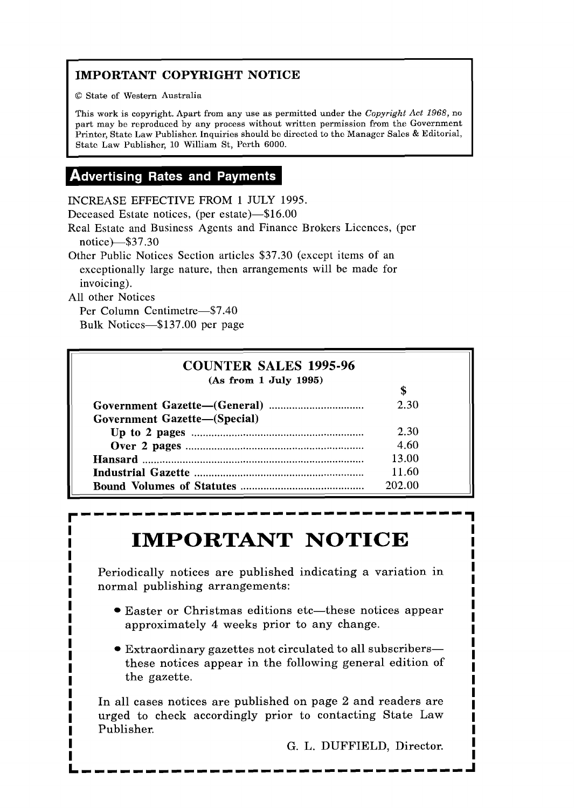## **IMPORTANT COPYRIGHT NOTICE**

Q State of Western Australia

This work is copyright. Apart from any use as permitted under the **Copyright** *Act* 1968, no part may be reproduced by any process without written permission from the Government Printer, State Law Publisher. Inquiries should be directed to the Manager Sales & Editorial, State Law Publishor, 10 William St, Perth 6000.

# **Advertising Rates and Payments**

INCREASE EFFECTIVE FROM 1 JULY 1995.

Deceased Estate notices, (per estate)-\$16.00

Real Estate and Business Agents and Finance Brokcrs Liccnccs, (per notice)-\$37.30

Other Public Notices Section articles \$37.30 (except items of an exceptionally large nature, then arrangements will be made for invoicing).

All other Notices

Per Column Centimetre-\$7.40 Bulk Notices-\$137.00 per page

## **COUNTER SALES 1995-96 (As from 1 July 1995)**  \$ **Government Gazette-(General)** ................................. 2.30 Government Gazette-(Special) **Up to 2 pages** ............................................................ 2.30 **Over 2 pages** .............................................................. 4.60 **Hansard** ............................................................................. 13.00 **Industrial Gazette** ........................................................... 11.60 **Bound Volumes of Statutes** ........................................ 202.00

# **IMPORTANT NOTICE**

Periodically notices are published indicating a variation in normal publishing arrangements:

- Easter or Christmas editions etc—these notices appear approximately 4 weeks prior to any change.
- Extraordinary gazettes not circulated to all subscribersthese notices appear in the following general edition of the gazette.

In all cases notices are published on page 2 and readers are urged to check accordingly prior to contacting State Law Publisher.

G. L. DUFFIELD, Director.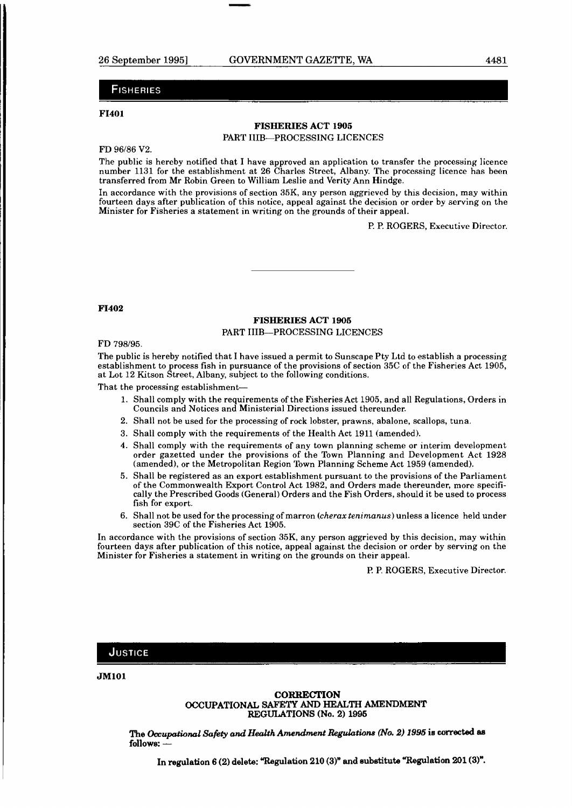#### **FISHERIES**

#### **F1401**

#### **FISHERIES ACT 1905**  PART IIIB-PROCESSING LICENCES

#### FD 96/86 V2.

The public is hereby notified that I have approved an application to transfer the processing licence number 1131 for the establishment at 26 Charles Street, Albany. The processing licence has been transferred from Mr Robin Green to William Leslie and Verity Ann Hindge.

In accordance with the provisions of section 35K, any person aggrieved by this decision, may within fourteen days after publication of this notice, appeal against the decision or order by serving on the Minister for Fisheries a statement in writing on the grounds of their appeal.

P. P. ROGERS, Executive Director.

#### **F1402**

#### **FISHERIES ACT 1905**  PART IIIB-PROCESSING LICENCES

#### FD 798/95.

The public is hereby notified that I have issued a permit to Sunscape Pty Ltd to establish a processing establishment to process fish in pursuance of the provisions of section 35C of the Fisheries Act 1905, at Lot 12 Kitson Street, Albany, subject to the following conditions.

That the processing establishment-

- 1. Shall comply with the requirements of the Fisheries Act 1905, and all Regulations, Orders in Councils and Notices and Ministerial Directions issued thereunder.
- 2. Shall not be used for the processing of rock lobster, prawns, abalone, scallops, tuna.
- 3. Shall comply with the requirements of the Health Act 1911 (amended).
- 4. Shall comply with the requirements of any town planning scheme or interim development order gazetted under the provisions of the Town Planning and Development Act 1928 (amended), or the Metropolitan Region Town Planning Scheme Act 1959 (amended).
- 5. Shall be registered as an export establishment pursuant to the provisions of the Parliament of the Commonwealth Export Control Act 1982, and Orders made thereunder, more specifically the Prescribed Goods (General) Orders and the Fish Orders, should it be used to process fish for export.
- 6. Shall not be used for the processing of marron (cherax tenimanus) unless a licence held under section 39C of the Fisheries Act 1905.

In accordance with the provisions of section 35K, any person aggrieved by this decision, may within fourteen days after publication of this notice, appeal against the decision or order by serving on the Minister for Fisheries a statement in writing on the grounds on their appeal.

P. P. ROGERS, Executive Director.

#### JUSTICE

**JM101** 

**CORRECTION OCCUPATIONAL SAFETY AND HEALTH AMENDMENT REGULATIONS (No. 2) 1996** 

 $\bm{\Gamma}$ he *Occupational Safety and Health Amendment Regulations (No. 2) 1995 is corrected as* The *Occupati*<br>follows: —

In regulation 6 (2) delete: "Regulation 210 (3)" and substitute "Regulation 201 (3)".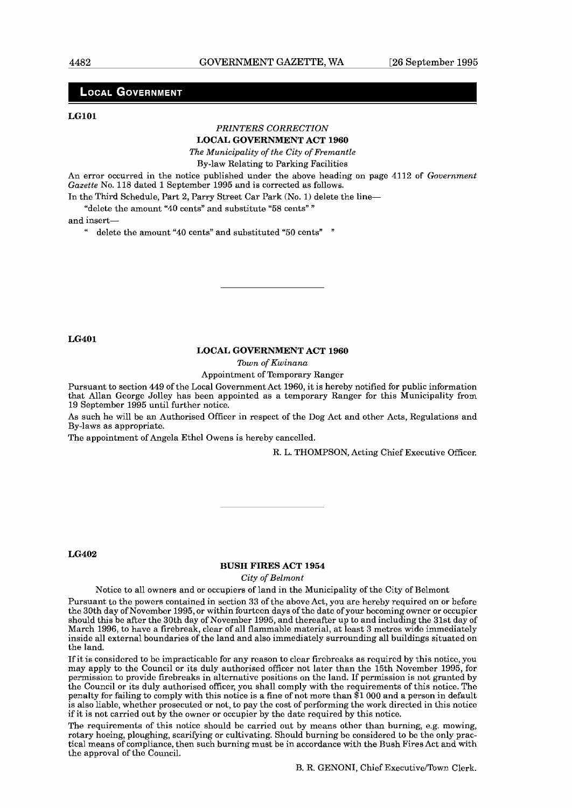#### **LOCAL GOVERNMENT**

#### **LGlOl**

#### *PRINTERS CORRECTION*  **LOCAL GOVERNMENT ACT 1960**

*The Municipality of the City of Fremantle* 

By-law Relating to Parking Facilities

An error occurred in the notice published under the above heading on page 4112 of *Government Gazette* No. 118 dated 1 September 1995 and is corrected as follows.

In the Third Schedule, Part 2, Parry Street Car Park (No. 1) delete the line-

"delete the amount "40 cents" and substitute "58 cents" "

and insert-

" delete the amount "40 cents" and substituted "50 cents" "

**LG401** 

#### **LOCAL GOVERNMENT ACT 1960**

*Town of Kwinana* 

Appointment of Temporary Ranger

Pursuant to section 449 of the Local Government Act 1960, it is hereby notified for public information that Allan George Jolley has been appointed as a temporary Ranger for this Municipality from 19 September 1995 until further notice.

As such he will be an Authorised Officer in respect of the Dog Act and other Acts, Regulations and By-laws as appropriate.

The appointment of Angela Ethel Owens is hereby cancelled.

R. L. THOMPSON, Acting Chief Executive Officer.

#### **LG402**

#### **BUSH FIRES ACT 1954**

*City of Belmont* 

Notice to all owners and or occupiers of land in the Municipality of the City of Belmont

Pursuant to the powers contained in section **33** of the above Act, you are hereby required on or before the 30th day of November 1995, or within fourteen days of the date of your becoming owner or occupier should this be after the 30th day of November 1995, and thereafter up to and including the 31st day of March 1996, to have a firebreak, clear of all flammable material, at least 3 metres wide immediately inside all external boundaries of the land and also immediately surrounding all buildings situated on the land.

If it is considered to be impracticable for any reason to clear firebreaks as required **by** this notice, you may apply to the Council or its duly authorised officer not later than the 15th November 1995, for permission to provide firebreaks in alternative positions on the land. If permission is not granted by the Council or its duly authorised officer, you shall comply with the requirements of this notice. The penalty for failing to comply with this notice is a fine of not more than \$1 000 and a person in default is also liable, whether prosecuted or not, to pay the cost of performing the work directed in this notice if it is not carried out by the owner or occupier by the date required by this notice.

The requirements of this notice should be carried out by means other than burning, e.g. mowing, rotary hoeing, ploughing, scarifying or cultivating. Should burning be considered to be the only practical means of compliance, then such burning must be in accordance with the Rush Fires Act and with the approval of the Council.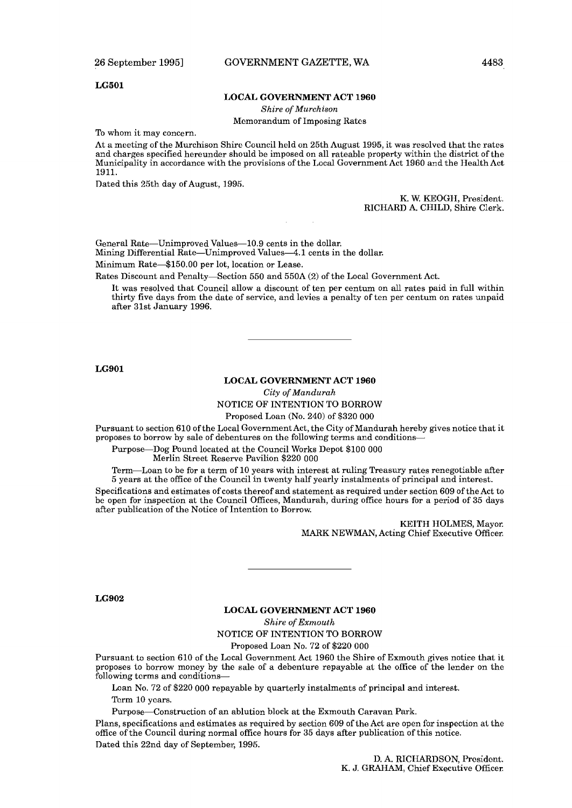#### **LG501**

#### **LOCAL GOVERNMENT ACT 1960**

*Shire of Murchison* 

Memorandum of Imposing Rates

To whom it may concern.

At a meeting of the Murchison Shire Council held on 25th August 1995, it was resolved that the rates and charges specified hereunder should be imposed on all rateable property within the district of the Municipality in accordance with the provisions of the Local Government Act 1960 and the Health Act 1911.

Dated this 25th day of August, 1995.

K. W. KEOGH, President. RICHARD A. CHILD, Shire Clerk.

General Rate-Unimproved Values-10.9 cents in the dollar. Mining Differential Rate-Unimproved Values-4.1 cents in the dollar.

Minimum Rate-\$150.00 per lot, location or Lease.

Rates Discount and Penalty-Section 550 and 550A (2) of the Local Government Act.

It was resolved that Council allow a discount of ten per centum on all rates paid in full within thirty five days from the date of service, and levies a penalty of ten per centum on rates unpaid after 31st January 1996.

**LG901** 

#### **LOCAL GOVERNMENT ACT** 1960

*City of Mandurah* 

NOTICE OF INTENTION TO BORROW

Proposed Loan (No. 240) of \$320 000

Pursuant to section 610 of the Local Government Act, the City of Mandurah hereby gives notice that it proposes to borrow by sale of debentures on the following terms and conditions-

Purpose-Dog Pound located at the Council Works Depot \$100 000

Merlin Street Reserve Pavilion \$220 000

Term-Loan to be for a term of 10 years with interest at ruling Treasury rates renegotiable after 5 years at the office of the Council in twenty half yearly instalments of principal and interest.

Specifications and estimates of costs thereof and statement as required under section 609 of the Act to be open for inspection at the Council Offices, Mandurah, during office hours for a period of 35 days after publication of the Notice of Intention to Borrow.

> KEITH HOLMES, Mayor. MARK NEWMAN, Acting Chief Executive Officer.

LG902

#### **LOCAL GOVERNMENT ACT** 1960

**Shire** *of Exmouth* 

NOTICE OF INTENTION TO BORROW

Proposed Loan No. 72 of \$220 000

Pursuant to section 610 of the Local Government Act 1960 the Shire of Exrnouth gives notice that it proposes to borrow money by the sale of a debenture repayable at the office of the lender on the following torms and conditions-

Loan No. 72 of \$220 000 repayable by quarterly instalments of principal and interest. Term 10 years.

Purpose-Construction of an ablution block at the Exmouth Caravan Park.

Plans, specifications and estimates as required by section 609 of the Act are open for inspection at the office of the Council during normal office hours for 35 days after publication of this notice. Dated this 22nd day of September, 1995.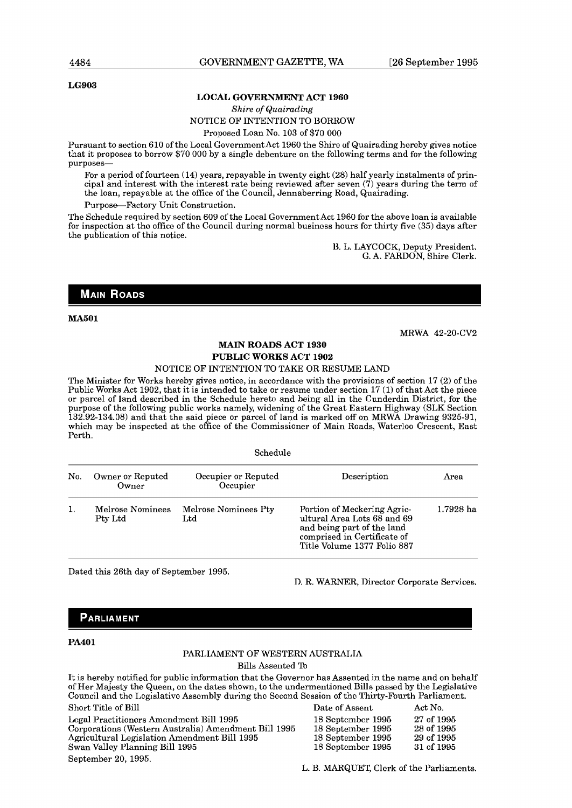#### **LG903**

#### **LOCAL GOVERNMENT ACT 1960**

#### *Shire of Quairading*  NOTICE OF INTENTION TO BORROW

Proposed Loan No. 103 of \$70 000

Pursuant to section 610 of the Local Government Act 1960 the Shire of Quairading hereby gives notice that it proposes to borrow \$70 000 by a single debenture on the following terms and for the following purposes-

For a period of fourteen  $(14)$  years, repayable in twenty eight  $(28)$  half yearly instalments of principal and interest with the interest rate being reviewed after seven (7) years during the term of the loan, repayable at the office of the Council, Jennaberring Road, Quairading.

Purpose--Factory Unit Construction.

The Schedule required by section 609 of the Local Government Act 1960 for the above loan is available for inspcction at thc officc of the Council during normal busincss hours for thirty five (35) days after the publication of this notice.

> U. L. LAYCOCK, Deputy President. G. A. FARDON, Shire Clerk.

#### **MAIN ROADS**

**MA501** 

MRWA 42-20-CV2

#### **MAIN ROADS ACT 1930 PUBLIC WORKS ACT 1902**

#### NOTICE OF INTENTION TO TAKE OR RESUME LAND

The Minister for Works hereby gives notice, in accordance with the provisions of section 17 (2) of the Public Works Act 1902, that it is intended to take or resume under section 17 (1) of that Act the piece or parcel of land described in the Schedule hereto and being all in the Cunderdin District, for the purpose of the following public works namely, widening of the Great Eastern Highway (SLK Section 132.92-134.08) and that the said piece or parcel of land is marked off on MRWA Drawing 9325-91, which may be inspected at the office of the Commissioner of Main Roads, Waterloo Crescent, East Perth.

Schedule

| No. | Owner or Reputed<br>Owner   | Occupier or Reputed<br>Occupier | Description                                                                                                                                            | Area      |
|-----|-----------------------------|---------------------------------|--------------------------------------------------------------------------------------------------------------------------------------------------------|-----------|
| 1.  | Melrose Nominees<br>Pty Ltd | Melrose Nominees Pty<br>Ltd     | Portion of Meckering Agric-<br>ultural Area Lots 68 and 69<br>and being part of the land<br>comprised in Certificate of<br>Title Volume 1377 Folio 887 | 1.7928 ha |

Dated this 26th day of September 1995.

**D.** R. WARNER, Director Corporate Services.

#### **PARLIAMENT**

#### **PA401**

#### PARLIAMENT OF WESTERN AUSTRALIA

Bills Assented To

It is hereby notified for public information that the Governor has Assented in the name and on behalf oi'Her Majesty the Queen, on the dates shown, to the undermentioned Bills passed by the Legislative Council and thc Logislativo Asscmbly during the Socond Session of the Thirty-Fourth Parliament.

| Short Title of Bill                                  | Date of Assent    | Act No.    |
|------------------------------------------------------|-------------------|------------|
| Legal Practitioners Amendment Bill 1995              | 18 September 1995 | 27 of 1995 |
| Corporations (Western Australia) Amendment Bill 1995 | 18 September 1995 | 28 of 1995 |
| Agricultural Legislation Amendment Bill 1995         | 18 September 1995 | 29 of 1995 |
| Swan Valley Planning Bill 1995                       | 18 Scotember 1995 | 31 of 1995 |
| September 20, 1995.                                  |                   |            |

L. B. MARQUET, Clerk of the Parliaments.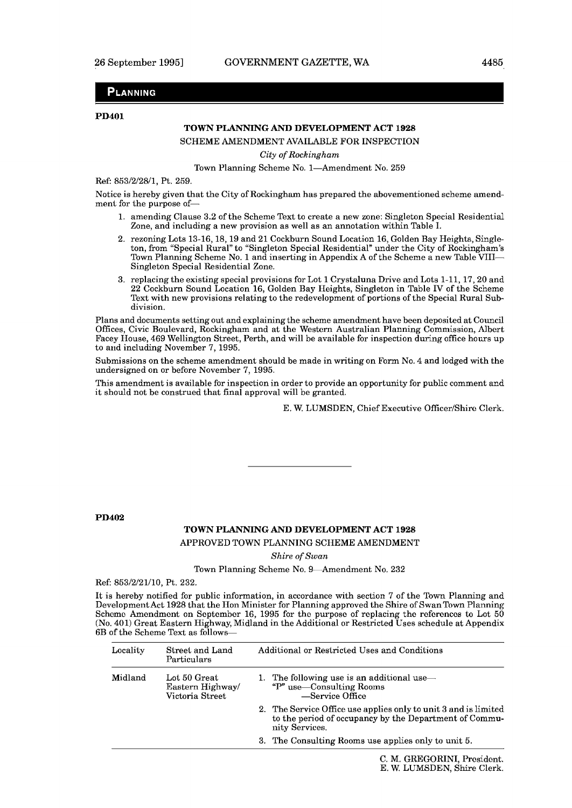#### **PLANNING**

#### **PD401**

#### **TOWN PLANNING AND DEVELOPMENT ACT 1928**

SCHEME AMENDMENT AVAILABLE FOR INSPECTION

*City of Rockingham* 

Town Planning Scheme No. 1-Amendment No. 259

Ref: 853/2/28/1, Pt. 259.

Notice is hereby given that the City of Rockingham has prepared the abovementioned scheme amendment for the purpose of-

- 1. amending Clause **3.2** of the Scheme Text to create a new zone: Singleton Special Residential Zone, and including a new provision as well as an annotation within Table I.
- 2. rezoning Lots 13-16,18,19 and 21 Cockburn Sound Location 16, Golden Bay Heights, Singleton, from "Special Rural" to "Singleton Special Residential" under the City of Rockingham's Town Planning Scheme No. 1 and inserting in Appendix **A** of the Scheme a new Table VIII-Singleton Special Residential Zone.
- 3. replacing the existing special provisions for Lot 1 Crystaluna Drive and Lots 1-11,17,20 and 22 Cockburn Sound Location 16, Golden Bay Heights, Singleton in Table IV of the Scheme Text with new provisions relating to the redevelopment of portions of the Special Rural Subdivision.

Plans and documents setting out and explaining the scheme amendment have been deposited at Council Offices, Civic Boulevard, Rockingham and at the Western Australian Planning Commission, Albert Facey House, 469 Wellington Street, Perth, and will be available for inspection during office hours up to and including November 7,1995.

Submissions on the scheme amendment should be made in writing on Form No. 4 and lodged with the undersigned on or before November 7, 1995.

This amendment is available for inspection in order to provide an opportunity for public comment and it should not be construed that final approval will be granted.

E. W. LUMSDEN, Chief Executive Officer/Shire Clerk.

**PD402** 

#### **TOWN PLANNING AND DEVELOPMENT ACT 1928**

APPROVED TOWN PLANNING SCHEME AMENDMENT

*Shire* of *Swan* 

Town Planning Scheme No. 9-Amendment No. 232

Ref: 853/2/21/10, Pt. 232.

It is hereby notified for public information, in accordance with section 7 of the Town Planning and DevelopmentAct 1928 that the Hon Minister for Planning approved the Shire of SwanTown Planning Scheme Amendment on September 16, 1995 for the purpose of replacing the references to Lot 50 (No. 401) Great Eastern Highway, Midland in the Additional or Restricted Uses schedule at Appendix **6B** of the Scheme Text as follows-

| Locality | Street and Land<br>Particulars                     | Additional or Restricted Uses and Conditions                                                                                                |
|----------|----------------------------------------------------|---------------------------------------------------------------------------------------------------------------------------------------------|
| Midland  | Lot 50 Great<br>Eastern Highway<br>Victoria Street | 1. The following use is an additional use—<br>"P" use-Consulting Rooms<br>-Service Office                                                   |
|          |                                                    | 2. The Service Office use applies only to unit 3 and is limited<br>to the period of occupancy by the Department of Commu-<br>nity Services. |
|          |                                                    | 3. The Consulting Rooms use applies only to unit 5.                                                                                         |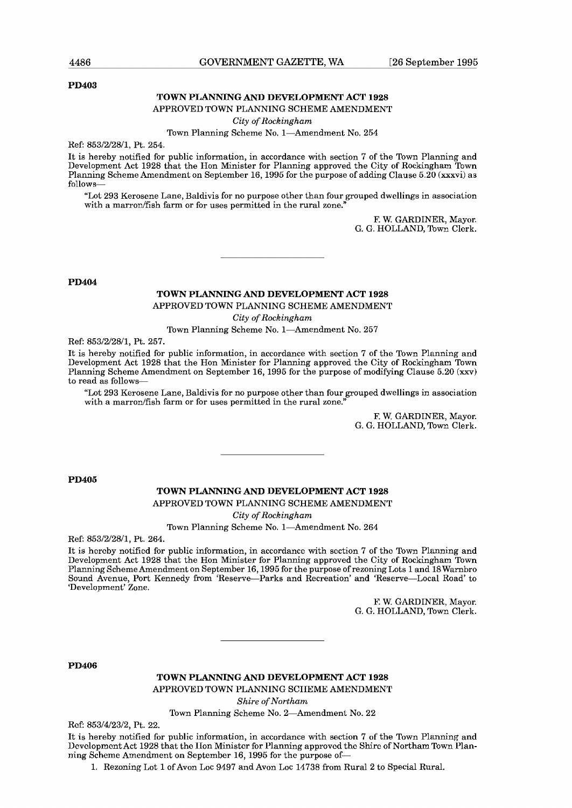#### **PD403**

#### **TOWN PLANNING AND DEVELOPMENT ACT 1928**

#### APPROVED TOWN PLANNING SCHEME AMENDMENT

*Cily of Itockingham* 

#### Town Planning Scheme No. 1-Amendment No. 254

Ref: 853/2/28/1, Pt. 254.

It is hereby notified for public information, in accordance with section 7 of the Town Planning and Development Aet 1928 that the Hon Minister for Planning approved the City of Roekingham Town Planning Scheme Amendment on September 16, 1995 for the purpose of adding Clause  $5.20$  (xxxvi) as follows-

"Lot 293 Kerosene Lane, Baldivis for no purpose other than four grouped dwellings in association with a marron/fish farm or for uses permitted in the rural zone."

> F. W. GARDINER, Mayor. G. G. HOLLAND, Town Clerk.

**PD404** 

**TOWN PLANNING AND DEVELOPMENT ACT 1928**  APPROVED TOWN PLANNING SCHEME AMENDMENT

*City of Rockingham* 

Town Planning Scheme No. 1-Amendment No. 257

Ref: 853/2/28/1, Pt. 257.

It is hereby notified for public information, in accordance with section 7 of the Town Planning and Development Act 1928 that the Hon Minister for Planning approved the City of Rockingham Town Planning Scheme Amendment on September 16,1995 for the purpose of modifying Clause 5.20 **(xxv)**  to read as follows-

"Lot 293 Kerosene Lane, Baldivis for no purpose other than four grouped dwellings in association with a marron/fish farm or for uses permitted in the rural zone."

> F. W. GARDINER, Mayor. G. G. HOLLAND, Town Clerk.

**PD405** 

#### **TOWN PLANNING AND DEVELOPMENT ACT 1928**

APPROVED TOWN PLANNING SCHEME AMENDMENT

*City of Rockingham* 

Town Planning Scheme No. 1-Amendment No. 264

Ref: 853/2/28/1, Pt. 264.

It is hcrcby notificd for public information, in accordancc with scction **7** of thc Town Planning and Development Act 1928 that the Hon Minister for Planning approved the City of Rockingham Town Planning Scheme Amendment on September 16,1995 for the purpose of rezoning Lots 1 and l8 Warnbro Sound Avenue, Port Kennedy from 'Reserve-Parks and Recreation' and 'Reserve-Local Road' to 'Development' Zone.

> F. W. GARDINER, Mavor. G. G. HOLLAND, Town Clerk.

**PD406** 

**TOWN PLANNING AND DEVELOPMENT ACT 1928** 

APPROVED TOWN PLANNING SCIIEME AMENDMENT

*Shire of Northam* 

Town Planning Scheme No. 2-Amendment No. 22

Ref: 853/4/23/2, Pt. 22.

It is hereby notified for public information, in accordance with section 7 of the Town Planning and DcvclopmcntAct 1928 that thc lIon Ministcr for Planning approvcd thc Skirc of Northam Town Planning Scheme Amendment on September 16,1995 for the purpose of-

1. Rezoning Lot 1 of Avon Loc 9497 and Avon Loc 14738 from Rural 2 to Special Rural.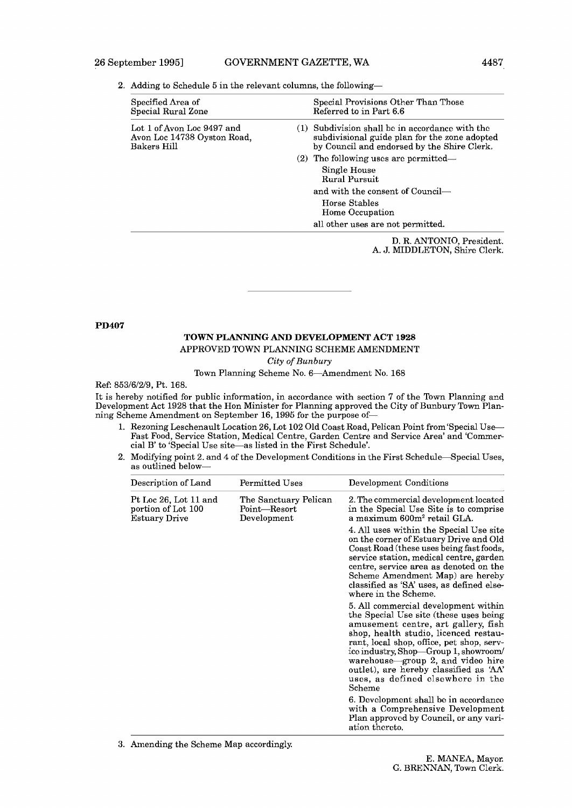2. Adding to Schedule 5 in the relevant columns, the following-

| Specified Area of<br>Special Rural Zone                                  | Special Provisions Other Than Those<br>Referred to in Part 6.6                                                                                    |
|--------------------------------------------------------------------------|---------------------------------------------------------------------------------------------------------------------------------------------------|
| Lot 1 of Avon Loc 9497 and<br>Avon Loc 14738 Oyston Road,<br>Bakers Hill | $(1)$ Subdivision shall be in accordance with the<br>subdivisional guide plan for the zone adopted<br>by Council and endorsed by the Shire Clerk. |
|                                                                          | $(2)$ The following uses are permitted—                                                                                                           |
|                                                                          | Single House<br><b>Rural Pursuit</b>                                                                                                              |
|                                                                          | and with the consent of Council—                                                                                                                  |
|                                                                          | Horse Stables<br>Home Occupation                                                                                                                  |
|                                                                          | all other uses are not permitted.                                                                                                                 |
|                                                                          |                                                                                                                                                   |

D. R. ANTONIO, President. A. **J. MIDDLETON**, Shire Clerk.

#### **PD407**

#### **TOWN PLANNING AND DEVELOPMENT ACT 1928**

APPROVED TOWN PLANNING SCHEME AMENDMENT

**City** of *Bunbury* 

Town Planning Scheme No. 6-Amendment No. 168

Ref: 853/6/2/9, Pt. 168.

It is hereby notified for public information, in accordance with section 7 of the Town Planning and Development Act 1928 that the Hon Minister for Planning approved the City of Bunbury Town Planning Scheme Amendment on September 16,1995 for the purpose of-

- 1. Rezoning Leschenault Location 26, Lot 102 Old Coast Road, Pelican Point from 'Special Use-Fast Food, Service Station, Medical Centre, Garden Centre and Service Area' and 'Commercial B' to 'Special Use site-as listed in the First Schedule'.
- **2.** Modifying point **2.** and **4** of the Development Conditions in the First Schedule-Special Uses, as outlined below-

| Description of Land                                                 | Permitted Uses                                         | Development Conditions                                                                                                                                                                                                                                                                                                                                                              |  |
|---------------------------------------------------------------------|--------------------------------------------------------|-------------------------------------------------------------------------------------------------------------------------------------------------------------------------------------------------------------------------------------------------------------------------------------------------------------------------------------------------------------------------------------|--|
| Pt Loc 26, Lot 11 and<br>portion of Lot 100<br><b>Estuary Drive</b> | The Sanctuary Pelican<br>$Point$ Resort<br>Development | 2. The commercial development located<br>in the Special Use Site is to comprise<br>a maximum 600m <sup>2</sup> retail GLA.                                                                                                                                                                                                                                                          |  |
|                                                                     |                                                        | 4. All uses within the Special Use site<br>on the corner of Estuary Drive and Old<br>Coast Road (these uses being fast foods,<br>service station, medical centre, garden<br>centre, service area as denoted on the<br>Scheme Amendment Map) are hereby<br>classified as 'SA' uses, as defined else-<br>where in the Scheme.                                                         |  |
|                                                                     |                                                        | 5. All commercial development within<br>the Special Use site (these uses being)<br>amusement centre, art gallery, fish<br>shop, health studio, licenced restau-<br>rant, local shop, office, pet shop, serv-<br>ice industry, Shop—Group 1, showroom/<br>warehouse—group 2, and video hire<br>outlet), are hereby classified as 'AA'<br>uses, as defined elsewhere in the<br>Scheme |  |
|                                                                     |                                                        | 6. Development shall be in accordance<br>with a Comprehensive Development<br>Plan approved by Council, or any vari-<br>ation thereto.                                                                                                                                                                                                                                               |  |

**3.** Amending the Scheme Map accordingly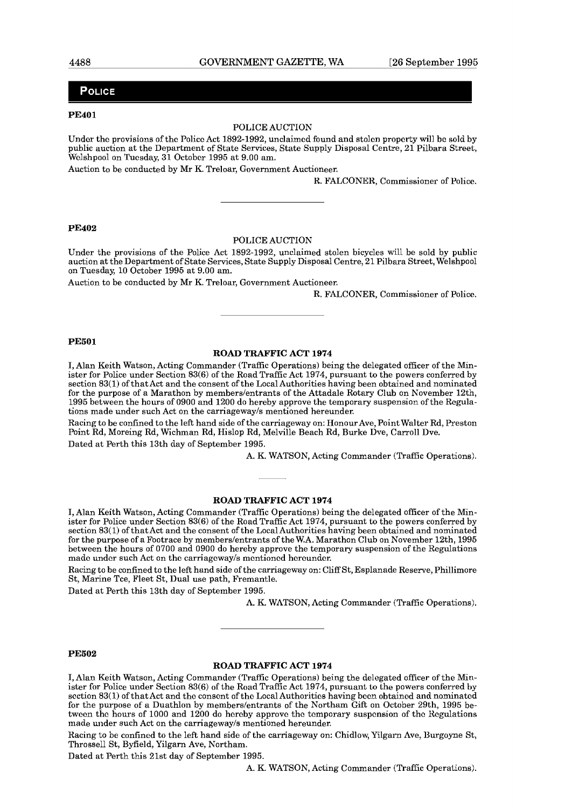#### POLICE

#### **PE401**

#### POLICE AUCTION

Under the provisions of the Police Act 1892-1992, unclaimed found and stolen property will be sold by public auction at the Department of State Services, State Supply Disposal Centre, 21 Pilbara Street, Welshpool on Tuesday, 31 October 1995 at 9.00 am.

Auction to be conducted by Mr K. Treloar, Government Auctioneer.

R. FALCONER, Commissioner of Police.

#### **PE402**

#### POLICE AUCTION

Under the provisions of the Police Act 1892-1992, unclaimed stolen bicycles will be sold by public auction at the Department of State Services, State Supply Disposal Centre, 21 Pilbara Street, Welshpool on Tuesday, 10 October 1995 at 9.00 am.

Auction to be conducted by Mr K. Treloar, Government Auctioneer.

R. FALCONER, Commissioner of Police.

#### **PE501**

#### **ROAD TRAFFIC ACT 1974**

**I,** Alan Keith Watson, Acting Commander (Traffic Operations) being the delegated officer of the Minister for Police under Section 83(6) of the Road Traffic Act 1974, pursuant to the powers conferred by section 83(1) of that Act and the consent of the Local Authorities having been obtained and nominated for the purpose of a Marathon by members/entrants of the Attadale Rotary Club on November 12th, 1995 between the hours of 0900 and 1200 do hereby approve the temporary suspension of the Regulations made under such Act on the carriagewayls mentioned hereunder.

Racing to be confined to the left hand side of the carriageway on: Honour Ave, Point Walter Rd, Preston Point Rd, Moreing Rd, Wichman Rd, Hislop Rd, Melville Beach Rd, Burke Dve, Carroll Dve. Dated at Perth this 13th day of September 1995.

A. K. WATSON, Acting Commander (Traffic Operations).

#### **ROAD TRAFFIC ACT 1974**

I, Alan Keith Watson, Acting Commander (Traffic Operations) being the delegated officer of the Minister for Police under Section 83(6) of the Road Traffic Act 1974, pursuant to the powers conferred by section 83(1) of that Act and the consent of the Local Authorities having been obtained and nominated for the purpose of a Footrace by members/entrants of the W.A. Marathon Club on November 12th, 1995 between the hours of 0700 and 0900 do hereby approve the temporary suspension of the Regulations made under such Act on the carriageway/s mentioned hereunder.

Racing to be confined to the left hand side of the carriageway on: Cliff St, Esplanade Reserve, Phillimore St, Marine Tee, Fleet St, Dual use path, Fremantle.

Dated at Perth this 13th day of September 1995.

A. K. WATSON, Acting Commander (Traffic Operations).

#### **PE502**

#### **ROAD TRAFFIC ACT 1974**

**I,** Alan Keith Watson, Acting Commander (Traffic Operations) being the delegated officer of the Minister for Police under Section 83(6) of the Road Traffic Act 1974, pursuant to the powers conferred by section 83(1) of that Act and the consent of the Local Authorities having been obtained and nominated for the purpose of a Duathlon by members/entrants of the Northam Gift on October 29th, 1995 between the hours of 1000 and 1200 do hereby approve the temporary suspension of the Regulations made under such Act on the carriagewayls mentioned hereunder.

Racing to be confined to the left hand side of the carriageway on: Chidlow, Yilgarn Ave, Burgoyne St, Throssell St, Byfield, Yilgarn Ave, Northam.

Dated at Perth this 21st day of September 1995.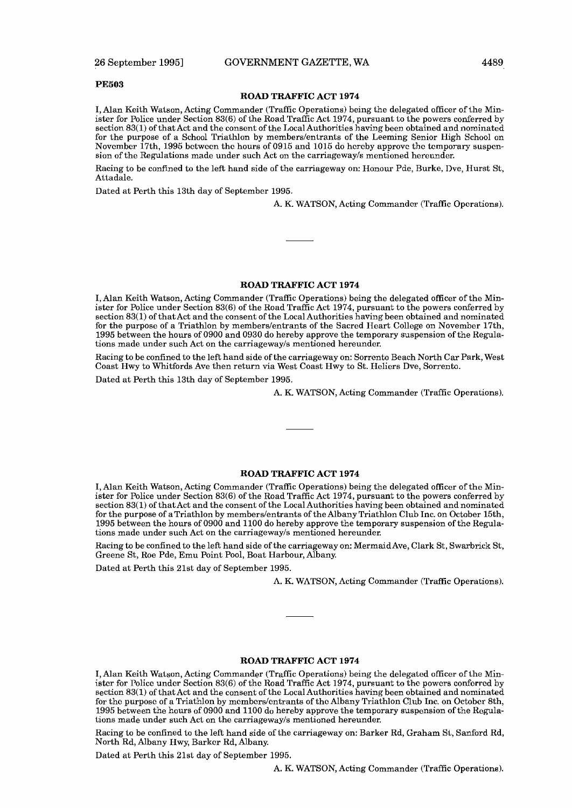#### **PE503**

#### **ROAD TRAFFIC ACT 1974**

I, Alan Keith Watson, Acting Commander (Traffic Operations) being the delegated officer of the Minister for Police under Section 83(6) of the Road Traffic Act 1974, pursuant to the powers coderred by section 83(1) of that Act and the consent of the Local Authorities having been obtained and nominated for the purpose of a School Triathlon by memberslentrants of the Leeming Senior High School on November 17th, 1995 between the hours of 0915 and 1015 do hereby approve the temporary suspension of the Regulations made under such Act on the carriagewayls mentioned hereunder.

Racing to be confined to the left hand side of the carriageway on: Honour Pde, Rurke, Dve, Hurst St, Attadale.

Dated at Perth this 13th day of September 1995.

A. K. WATSON, Acting Commander (Traffic Opcrations).

#### **ROAD TRAFFIC ACT 1974**

I, Alan Keith Watson, Acting Commander (Traffic Operations) being the delegated officer of the Minister for Police under Section 83(6) of the Road Traffic Act 1974, pursuant to the powers conferred by section 83(1) of that Act and the consent of the Local Authorities having been obtained and nominated for the purpose of a Triathlon by memberslentrants of the Sacred Heart College on November 17th, 1995 between the hours of 0900 and 0930 do hereby approve the temporary suspension of the Regulations made under such Act on the carriagewayls mentioned hereunder.

Racing to be confined to the left hand side of the carriageway on: Sorrento Beach North Car Park, West Coast Hwy to Whitfords Ave then return via West Coast Hwy to St. Heliers Dve, Sorrento.

Dated at Perth this 13th day of September 1995.

A. K. WATSON, Acting Commander (Traffic Operations).

#### **ROAD TRAFFIC ACT 1974**

I, Alan Keith Watson, Acting Commander (Traffic Operations) being the delegated officer of the Minister for Police under Section 83(6) of the Road Traffic Act 1974, pursuant to the powers conferred by section 83(1) of that Act and the consent of the Local Authorities having been obtained and nominated for the purpose of aTriathlon by memberslentrants of the Albany Triathlon Club Inc. on October 15th, 1995 between the hours of 0900 and 1100 do hereby approve the temporary suspension of the Regulations made under such Act on the carriagewayls mentioned hereunder.

Racing to be confined to the left hand side of the carriageway on: MermaidAve, Clark St, Swarbrick St, Greene St, Roe Pde, Emu Point Pool, Boat Harbour, Albany.

Dated at Perth this 2lst day of September 1995.

A. K. WATSON, Acting Commander (Traffic Operations).

#### **ROAD TRAFFIC ACT 1974**

I, Alan Keith Watson, Acting Commander (Traffic Operations) being the delegated officer of the Ministcr for Policc undcr Scction 83(6) of thc Road Traffic Act 1974, pursuant to thc powcrs confcrrcd by section 83(1) of that Act and the consent of the Local Authorities having been obtained and nominated for the purpose of a Triathlon by members/entrants of the Albany Triathlon Club Inc. on October 8th, 1996 between the hours of 0900 and 1100 do hereby approve the temporary suspension of the Regulations made under such Act on the carriagewayls mentioned hereunder.

Racing to be confined to the left hand side of the carriageway on: Barker Rd, Graham St, Sanford Rd, North Rd, Albany Hwy, Barkcr Rd, Albany.

Dated at Perth this 21st day of September 1995.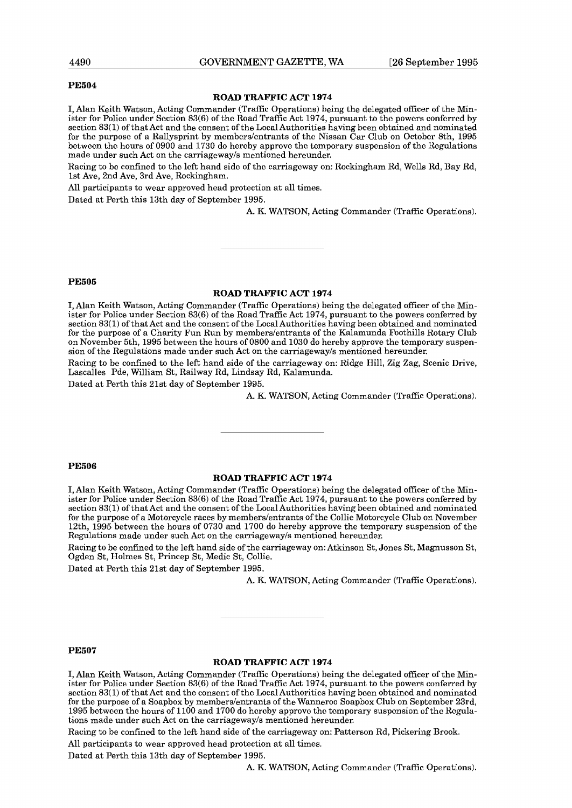#### **PE504**

#### **ROAD TRAFFIC ACT 1974**

**I,** Alan Keith Watson, Acting Commander (Traffic Operations) being the delegated officer of the Minister for Police under Section  $83(6)$  of the Road Traffic Act 1974, pursuant to the powers conferred by section 83(1) of that Act and the consent of the Local Authorities having been obtained and nominated for the purpose of a Rallysprint by members/entrants of the Nissan Car Club on October 8th, 1995 bctwccn the hours of 0900 and 1730 do hcroby approvc the temporary suspcnsion of the Kcgulations made under such Act on the carriagewayls mentioned hereunder.

Racing to be confined to the left hand side of the carriageway on: Rockingham Rd, Wells Rd, Bay Rd, 1st Ave, 2nd Ave, 3rd Ave, Rockingham.

All participants to wear approved head protection at all times.

Dated at Perth this 13th day of September 1995.

A. K. WATSON, Acting Commander (Traffic Operations).

#### **PE505**

#### **ROAD TRAFFIC ACT 1974**

**I,** Alan Keith Watson, Acting Commander (Traffic Operations) being the delegated officer of the Minister for Police under Section 83(6) of the Road Traffic Act 1974, pursuant to the powers conferred by section 83(1) of that Act and the consent of the Local Authorities having been obtained and nominated for the purpose of a Charity Fun Run by memberslentrants of the Kalamunda Foothills Rotary Club on November 5th, 1995 between the hours of 0800 and 1030 do hereby approve the temporary suspension of the Regulations made under such Act on the carriagewayls mentioned hereunder.

Racing to be confined to the left hand side of the carriageway on: Ridge Hill, Zig Zag, Scenic Drive, Lascalles Pde, William St, Railway Rd, Lindsay Rd, Kalamunda.

Dated at Perth this 21st day of September 1995.

A. K. WATSON, Acting Commander (Traffic Operations).

#### **PE506**

#### **ROAD TRAFFIC ACT 1974**

**I,** Alan Keith Watson, Acting Commander (Traffic Operations) being the delegated officer of the Minister for Police under Section 83(6) of the Road Traffic Act 1974, pursuant to the powers conferred by section 83(1) of that Act and the consent of the Local Authorities having been obtained and nominated for the purpose of a Motorcycle races by memberslentrants of the Collie Motorcycle Club on November 12th, 1995 between the hours of 0730 and 1700 do hereby approve the temporary suspension of the Regulations made under such Act on the carriagewayls mentioned hereunder.

Racing to be confied to the left hand side of the carriageway on: Atkinson St, Jones St, Magnusson St, Ogden St, Holmes St, Princep St, Medic St, Collie.

Dated at Perth this 21st day of September 1995.

A. K. WATSON, Acting Commander (Traffic Operations).

#### **PE507**

#### **ROAD TRAFFIC ACT 1974**

I, Alan Keith Watson, Acting Commander (Traffic Operations) being the delegated officer of the Minister for Police under Section 83(6) of the Road Traffic Act 1974, pursuant to the powers conferred by section 83(1) of that Act and the consent of the Local Authorities having been obtained and nominated for the purpose of a Soapbox by members/entrants of the Wanneroo Soapbox Club on September 23rd, 1995 bctwccn the hours of 1100 and 1700 do hcrcby approvc the temporary suspension of the Kegulations made under such Act on the carriagewayls mentioned hereunder.

Racing to be confined to the left hand side of the carriageway on: Patterson Rd, Pickering Brook.

All participants to wear approved head protection at all times.

Dated at Perth this 13th day of September 1995.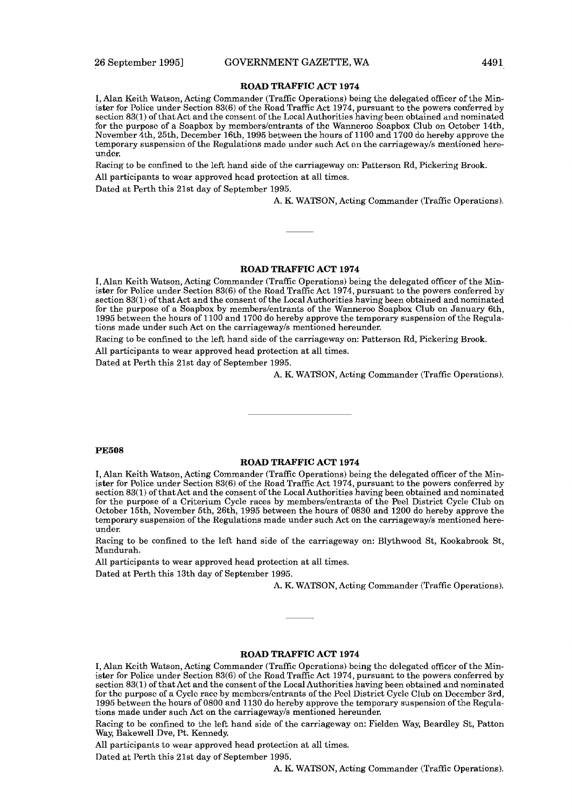I, Alan Keith Watson, Acting Commander (Traffic Operations) being the delegated officer of the Minister for Police under Section 83(6) of the Road Traffic Act 1974, pursuant to the powers conferred by section 83(1) of that Act and the consent of the Local Authorities having been obtained and nominated for the purpose of a Soapbox by members/entrants of the Wanneroo Soapbox Club on October 14th, November 4th, 25th, December 16th, 1995 between the hours of 1100 and 1700 do hereby approve the temporary suspension of the Regulations made under such Act on the carriagewayls mentioned hereunder.

Racing to be confined to the left hand side of the carriageway on: Patterson Rd, Pickering Brook. All participants to wear approved head protection at all times.

Dated at Perth this 21st day of September 1995.

A. K. WATSON, Acting Commander (Traffic Operations).

#### **ROAD TRAFFIC ACT 1974**

**I,** Alan Keith Watson, Acting Commander (Traffic Operations) being the delegated officer of the Minister for Police under Section 83(6) of the Road Traffic Act 1974, pursuant to the powers conferred by section 83(1) of that Act and the consent of the Local Authorities having been obtained and nominated for the purpose of a Soapbox by memberslentrants of the Wanneroo Soapbox Club on January 6th, 1995 between the hours of 1100 and 1700 do hereby approve the temporary suspension of the Regulations made under such Act on the carriagewayls mentioned hereunder.

Racing to be confined to the left hand side of the carriageway on: Patterson Rd, Pickering Brook.

All participants to wear approved head protection at all times.

Dated at Perth this 21st day of September 1995.

A. K. WATSON, Acting Commander (Traffic Operations).

#### **PE508**

#### **ROAD TRAFFIC ACT 1974**

**I,** Alan Keith Watson, Acting Commander (Traffic Operations) being the delegated officer of the Minister for Police under Section 83(6) of the Road Traffic Act 1974, pursuant to the powers conferred by section 83(1) of that Act and the consent of the Local Authorities having been obtained and nominated for the purpose of a Criterium Cycle races by memberslentrants of the Peel District Cycle Club on October 15th, November 5th, 26th, 1995 between the hours of 0830 and 1200 do hereby approve the temporary suspension of the Regulations made under such Act on the carriagewayls mentioned hereunder.

Racing to be confined to the left hand side of the carriageway on: Blythwood St, Kookabrook St, Mandurah.

All participants to wear approved head protection at all times.

Dated at Perth this 13th day of September 1995.

A. K. WATSON, Acting Commander (Traffic Operations).

#### **ROAD TRAFFIC ACT 1974**

**1,** Alan Keith Watson, Acting Commander (Traffic Operations) being the delegated officcr of the Minister for Police under Section **83(6)** of the Road Traffic Act 1974, pursuant to the powers conferred by section 83(1) of that Act and the consent of the Local Authorities having been obtained and nominated for the purpose of a Cycle race by members/entrants of the Peel District Cycle Club on December 3rd, 1995 between the hours of 0800 and 1130 do hereby approve the temporary suspension of the Regulations made under such Act on the carriagewayls mentioned hereunder.

Racing to be confined to the left hand side of the carriageway on: Fielden Way, Beardley St, Patton Way, Bakewell Dve, Pt. Kennedy.

All participants to wear approved head protection at all times.

Dated at Perth this 21st day of September 1995.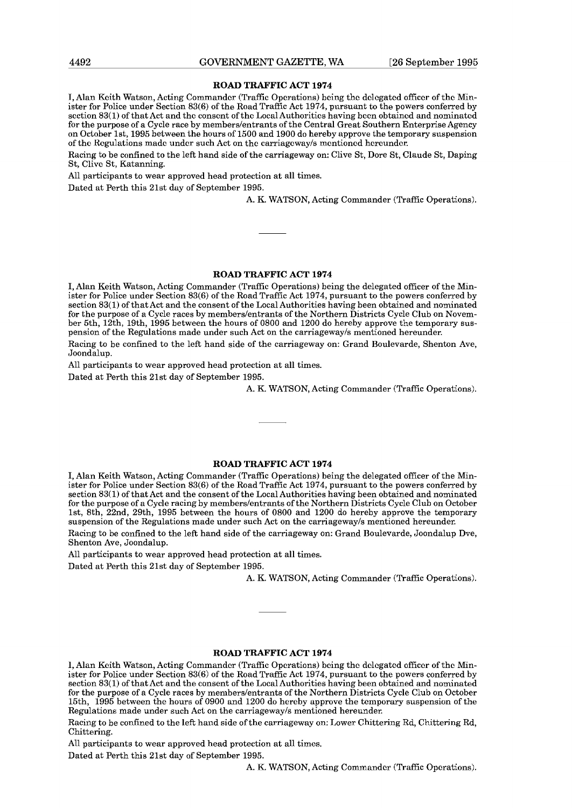**I,** Alan Kcith Watson, Acting Commandcr (Traffic Opcrations) bcing thc dclcgated officer of thc Minister for Police under Section 83(6) of the Road Traffic Act 1974, pursuant to the powers conferred by scction 83(1) of that Act and the consont of thc Local Authorities having bccn obtained and nominated for the purpose of a Cycle race by members/entrants of the Central Great Southern Enterprise Agency on October lst, 1995 between the hours or1500 and 1900 do hereby approve the temporary suspension of thc lbgulations madc under such Act on thc carriagcwayls mcntioncd hcrcundcr.

Racing to be confined to the left hand side of the carriageway on: Clive St, Dore St, Claude St, Daping St, Clivc St, Katanning.

All participants to wear approved head protection at all times.

Dated at Perth this 21st day of September 1995.

A. K. WATSON, Acting Commander (Traffic Operations).

#### **ROAD TRAFFIC ACT 1974**

**I,** Alan Keith Watson, Acting Commander (Traffic Operations) being the delegated officer of the Minister for Police under Section 83(6) of the Road Traffic Act 1974, pursuant **to** the powers conferred by section 83(1) of that Act and the consent of the Local Authorities having been obtained and nominated for the purpose of a Cycle races by memberslentrants of the Northern Districts Cycle Club on November 5th, 12th, 19th, 1995 between the hours of 0800 and 1200 do hereby approve the temporary suspension of the Regulations made under such Act on the carriageway/s mentioned hereunder.

Racing to be confined to the left hand side of the carriageway on: Grand Boulevarde, Shenton Ave, Joondalup.

All participants to wear approved head protection at all times.

Dated at Perth this 21st day of September 1995.

A. K. WATSON, Acting Commander (Traffic Operations).

#### **ROAD TRAFFIC ACT 1974**

**I,** Alan Keith Watson, Acting Commander (Traffic Operations) being the delegated officer of the Minister for Police under Section 83(6) of the Road Traffic Act 1974, pursuant to the powers conferred by section 83(1) of that Act and the consent of the Local Authorities having been obtained and nominated for the purpose of a Cycle racing by members/entrants of the Northern Districts Cycle Club on October lst, 8th, 22nd, 29th, 1995 between the hours of 0800 and 1200 do hereby approve the temporary suspension of the Regulations made under such Act on the carriagewayls mentioned hereunder.

Racing to be confined to the left hand side of the carriageway on: Grand Boulevarde, Joondalup Dve, Shenton Ave, Joondalup.

All participants to wear approved head protection at all times.

Dated at Perth this 21st day of September 1995.

A. K. WATSON, Acting Commander (Traffic Operations).

#### **ROAD TRAFFIC ACT 1974**

1, Alan Keith Watson, Acting Commandcr (Traffic Opcrations) bcing the delegated officer of the Minister for Police under Section **83(6)** of the Road Traffic Act 1974, pursuant to the powers conferred by section 83(1) of that Act and the consent of the Local Authorities having been obtained and nominated for the purpose of a Cycle races by members/entrants of the Northern Districts Cycle Club on October 15th, 1995 between the hours of 0900 and 1200 do hereby approve the temporary suspension of the Regulations made under such Act on the carriagewayls mentioned hereunder.

Racing to be confined to the left hand side of the carriageway on: Lower Chittering Rd, Chittering Rd, Chittering.

All participants to wear approved head protection at all times.

Dated at Perth this 21st day of September 1995.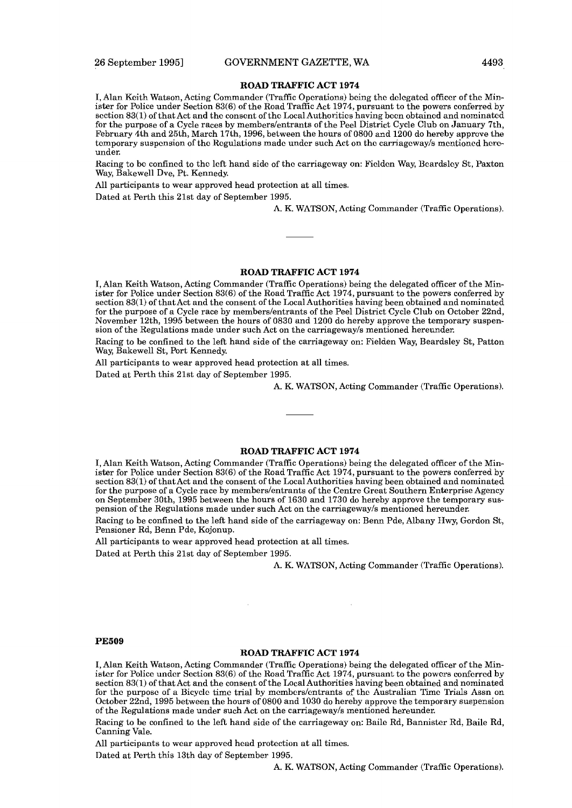**X,** Alan Kcith Watson, Acting Commander (Traffic Operations) being the dclcgatcd officcr of the Minister for Police under Section 83(6) of the Road Traffic Act 1974, pursuant to the powers conferred by section 83(1) of that Act and the consent of the Local Authorities having been obtained and nominated for the purpose of a Cycle races by members/entrants of the Peel District Cycle Club on January 7th. February 4th and 25th, March 17th, 1996, between the hours of 0800 and 1200 do hereby approve the temporary suspcnsion of the Hcgulations madc undcr such Act on the carriagcwayls mcntioncd hereunder.

Racing to be confined to the left hand side of the carriageway on: Fielden Way, Beardsley St, Paxton Way, Bakewell Dve, Pt. Kennedy

A11 participants to wear approved head protection at all times.

Dated at Perth this 21st day of September 1995.

A. K. WATSON, Acting Commander (Traffic Operations).

#### **ROAD TRAFFIC ACT 1974**

**I,** Alan Keith Watson, Acting Commander (Traffic Operations) being the delegated officer of the Minister for Police under Section 83(6) of the Road Traffic Act 1974, pursuant to the powers conferred by section 83(1) of that Act and the consent of the Local Authorities having been obtained and nominated for the purpose of a Cycle race by memberslentrants of the Peel District Cycle Club on October 22nd, November 12th, 1995 between the hours of 0830 and 1200 do hereby approve the temporary suspension of the Regulations made under such Act on the carriagewayls mentioned hereunder.

Racing to be confined to the left hand side of the carriageway on: Fielden Way, Beardsley St, Patton Way, Bakewell St, Port Kennedy.

All participants to wear approved head protection at all times.

Dated at Perth this 21st day of September 1995.

A. K. WATSON, Acting Commander (Traffic Operations).

#### **ROAD TRAFFIC ACT 1974**

**I,** Alan Keith Watson, Acting Commander (Traffic Operations) being the delegated officer of the Minister for Police under Section 83(6) of the Road Traffic Act 1974, pursuant to the powers conferred by section 83(1) of that Act and the consent of the Local Authorities having been obtained and nominated for the purpose of a Cycle race by memberslentrants of the Centre Great Southern Enterprise Agency on September 30th, 1995 between the hours of 1630 and 1730 do hereby approve the temporary suspension of the Regulations made under such Act on the carriagewayls mentioned hereunder.

Racing to be confined to the left hand side of the carriageway on: Benn Pde, Albany Hwy, Gordon St, Pensioner Rd, Benn Pde, Kojonup.

All participants to wear approved head protection at all times.

Dated at Perth this 21st day of September 1995.

A. K. WATSON, Acting Commander (Traffic Operations).

#### **PE509**

#### **ROAD TRAFFIC ACT 1974**

**I,** Alan Keith Watson, Acting Commander (Traffic Operations) being the delegated officer of the Minister for Police under Section 83(6) of the Road Traffic Act 1974, pursuant to the powers conferred by section 83(1) of that Act and the consent of the Local Authorities having been obtained and nominated for the purpose of a Bicycle time trial by members/entrants of the Australian Time Trials Assn on October 22nd, 1995 between the hours of 0800 and 1030 do hereby approve the temporary suspension of the Regulations made under such Act on the carriageway/s mentioned hereunder.

Racing to be confined to the left hand side of the carriageway on: Baile Rd, Bannister Rd, Baile Rd, Canning Vale.

A11 participants to wear approved head protection at all times.

Dated at Perth this 13th day of September 1995.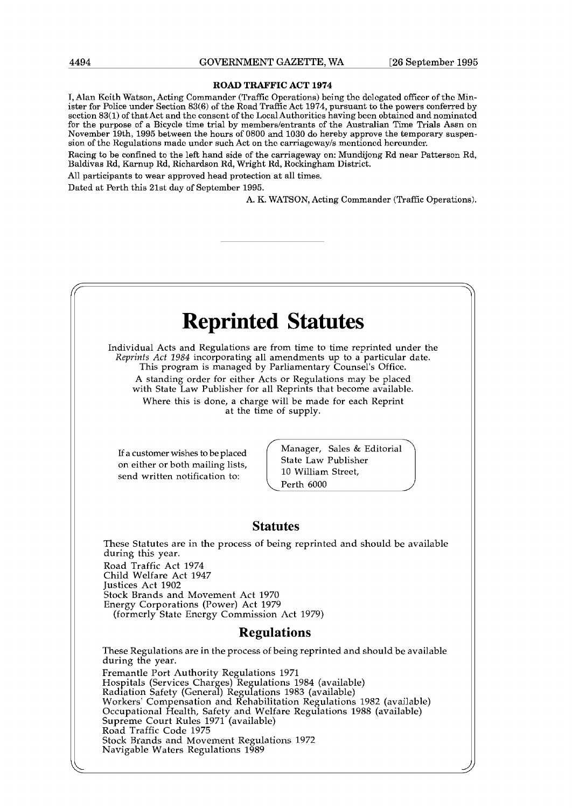**I,** Alan Kcith Watson, Acting Commandcr (Traffic Opcrations) bcing thc dclcgated officcr of thc Minister for Police under Section 83(6) of the Road Traffic Act 1974, pursuant to the powers conferred by scction 83(1) of that Act and the consent of thc Local Authoritics having bccn obtained and nominated for the purpose of a Bicycle time trial by members/entrants of the Australian Time Trials Assn on November 19th, 1995 between the hours of 0800 and 1030 do hereby approve the temporary suspension of the Regulations made under such Act on the carriageway's mentioned hereunder.

Racing to be confined to the left hand side of the carriageway on: Mundijong Rd near Patterson Rd, Baldivas Rd, Karnup Rd, Richardson Rd, Wright Rd, Rockingham District.

All participants to wear approved head protection at all times.

Dated at Perth this 21st day of September 1995.

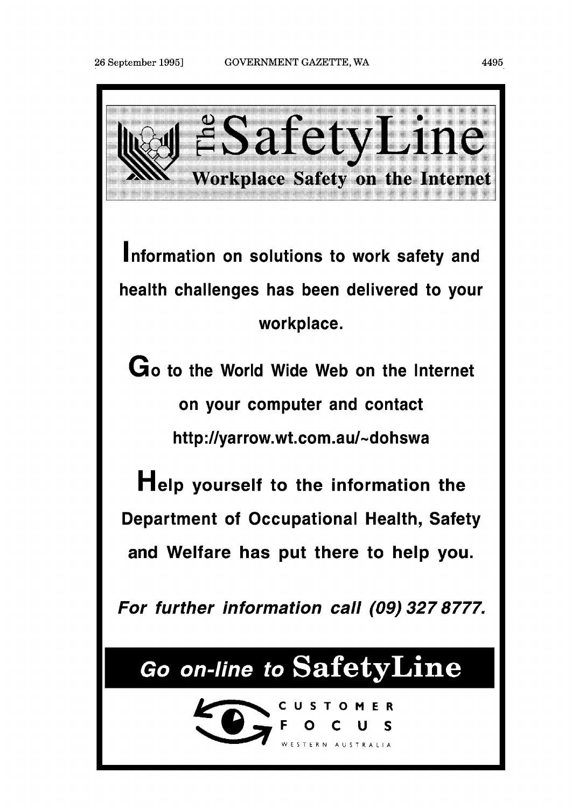

**Information on solutions to work safety and health challenges has been delivered to your wor kplace.** 

**Go to the World Wide Web on the lnternet on your computer and contact http:llyarrow.wt.com.aul-dohswa** 

**Help yourself to the information the Department of Occupational Health, Safety and Welfare has put there to help you.** 

**For further information call (09) 327 8777.** 

# Go on-line to SafetyLine

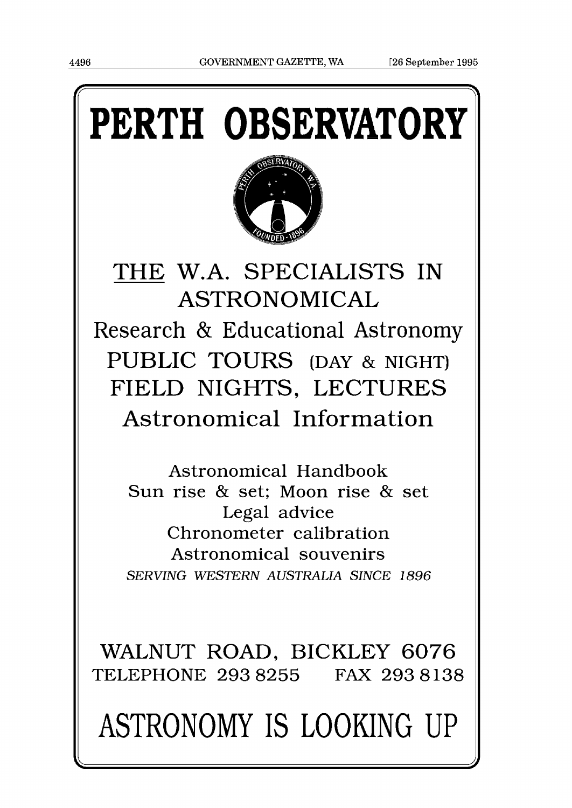# **PERTH OBSERVATORY**



# THE W.A. SPECIALISTS IN ASTRONOMICAL Research & Educational Astronomy PUBLIC TOURS (DAY & NIGHT) FIELD NIGHTS, LECTURES Astronomical Information

Astronomical Handbook Sun rise & set; Moon rise & set Legal advice Chronometer calibration Astronomical souvenirs *SERVING WESTERN AUSTRALIA SINCE 1896* 

WALNUT ROAD, BICKLEY 6076 TELEPHONE 293 8255 FAX 293 8138

# ASTRONOMY IS LOOKING UP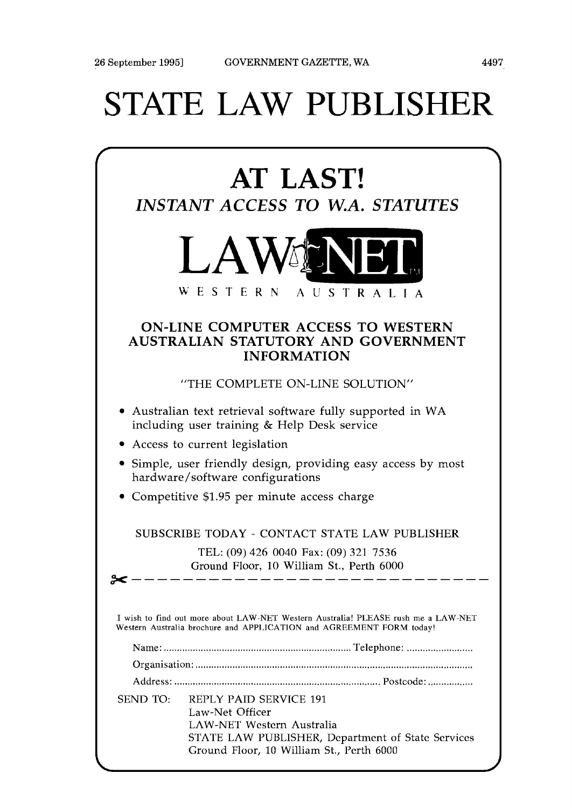# STATE LAW PUBLISHER

| AT LAST!<br><b>INSTANT ACCESS TO W.A. STATUTES</b>                                                     |                                                                                                                                                                                |  |
|--------------------------------------------------------------------------------------------------------|--------------------------------------------------------------------------------------------------------------------------------------------------------------------------------|--|
|                                                                                                        | <b>LAWENER</b><br>WESTERN<br>AUSTRALIA                                                                                                                                         |  |
| <b>ON-LINE COMPUTER ACCESS TO WESTERN</b><br>AUSTRALIAN STATUTORY AND GOVERNMENT<br><b>INFORMATION</b> |                                                                                                                                                                                |  |
|                                                                                                        | "THE COMPLETE ON-LINE SOLUTION"                                                                                                                                                |  |
|                                                                                                        | • Australian text retrieval software fully supported in WA<br>including user training & Help Desk service                                                                      |  |
|                                                                                                        | • Access to current legislation                                                                                                                                                |  |
|                                                                                                        | Simple, user friendly design, providing easy access by most<br>hardware/software configurations                                                                                |  |
|                                                                                                        | • Competitive \$1.95 per minute access charge                                                                                                                                  |  |
|                                                                                                        | SUBSCRIBE TODAY - CONTACT STATE LAW PUBLISHER                                                                                                                                  |  |
|                                                                                                        | TEL: (09) 426 0040 Fax: (09) 321 7536<br>Ground Floor, 10 William St., Perth 6000                                                                                              |  |
|                                                                                                        | I wish to find out more about LAW-NET Western Australia! PLEASE rush me a LAW-NET<br>Western Australia brochure and APPLICATION and AGREEMENT FORM today!                      |  |
|                                                                                                        |                                                                                                                                                                                |  |
|                                                                                                        |                                                                                                                                                                                |  |
|                                                                                                        |                                                                                                                                                                                |  |
| <b>SEND TO:</b>                                                                                        | <b>REPLY PAID SERVICE 191</b><br>Law-Net Officer<br>LAW-NET Western Australia<br>STATE LAW PUBLISHER, Department of State Services<br>Ground Floor, 10 William St., Perth 6000 |  |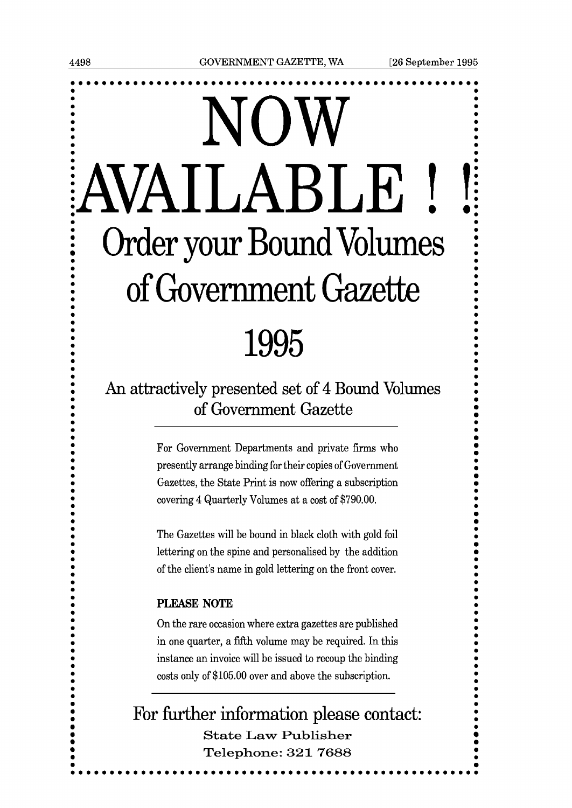**0** 

**0** 

**0** 

**0 a** 

**0 m** 

# NOW<br>AVAILABLE ! **Order your Bound Volumes** of Government Gazette 1995

# An attractively presented set of 4 Bound Volumes of Government Gazette

For Government Departments and private firms who presently arrange binding for their copies of Government Gazettes, the State Print is now offering a subscription covering 4 Quarterly Volumes at a cost of \$790.00.

The Gazettes will be bound in black cloth with gold foil lettering on the spine and personalised by the addition of the client's name in gold lettering on the front cover.

#### PLEASE **NOTE**

On the rare occasion where extra gazettes are published in one quarter, a fiRh volume may be required. In this instance an invoice will be issued to recoup the binding costs only of \$105.00 over and above the subscription.

**.** For further infornation please contact: **<sup>0</sup> m a <sup>m</sup>State Law Publisher <sup>m</sup>Telephone: 321 7688 <sup>m</sup><sup>0</sup>** ......................................... **......o..a..**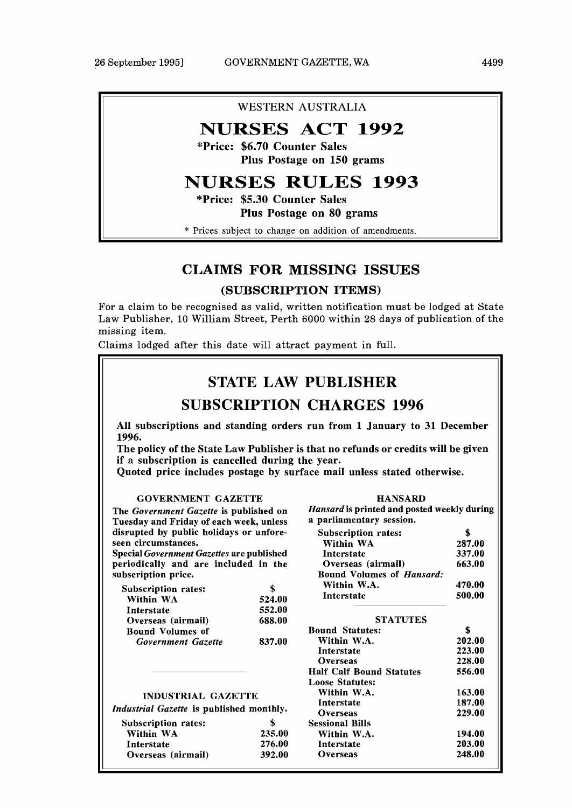#### WESTERN AUSTRALIA

# **NURSES ACT 1992**

\*Price: \$6.70 Counter Sales Plus Postage on 150 grams

# **NURSES RULES 1993**

"Price: \$5.30 Counter Sales Plus Postage on 80 grams

\* Prices subject to change on addition of amendments.

## CLAIMS FOR MISSING ISSUES

#### (SUBSCRIPTION ITEMS)

For a claim to be recognised as valid, written notification must be lodged at State Law Publisher, 10 William Street, Perth 6000 within 28 days of publication of the missing item.

Claims lodged after this date will attract payment in full.

## STATE LAW PUBLISHER

## SUBSCRIPTION CHARGES 1996

**All subscriptions and standing orders run from 1 January to 31 December 1996.** 

**The policy of the State Law Publisher is that no refunds or credits will be given if a subscription is cancelled during the year.** 

**Quoted price includes postage by surface mail unless stated otherwise.** 

#### GOVERNMENT GAZETTE

The Government Gazette is published on Tuesday and Friday of each week, unless disrupted by public holidays or unforeseen circumstances.

Special Government Gazettes are published periodically and are included in the subscription price.

| Subscription rates:     |        |
|-------------------------|--------|
| Within WA               | 524.00 |
| Interstate              | 552.00 |
| Overseas (airmail)      | 688.00 |
| <b>Bound Volumes of</b> |        |
| Government Gazette      | 837.00 |

| Hansard is printed and posted weekly during<br>a parliamentary session. |               |
|-------------------------------------------------------------------------|---------------|
| <b>Subscription rates:</b>                                              | \$            |
| Within WA                                                               | 287.00        |
| <b>Interstate</b>                                                       | 337.00        |
| Overseas (airmail)                                                      | 663.00        |
| <b>Bound Volumes of Hansard:</b>                                        |               |
| Within W.A.                                                             | 470.00        |
| <b>Interstate</b>                                                       | 500.00        |
| <b>STATUTES</b>                                                         |               |
| <b>Bound Statutes:</b>                                                  | \$            |
| Within W.A.                                                             | 202.00        |
| Interstate                                                              | 223.00        |
| Overseas                                                                | <b>228.00</b> |
| <b>Half Calf Bound Statutes</b>                                         | 556.00        |
| <b>Loose Statutes:</b>                                                  |               |
| Within W.A.                                                             | 163.00        |
| <b>Interstate</b>                                                       | 187.00        |
| Overseas                                                                | 229.00        |
| Sessional Bills                                                         |               |
| Within W.A.                                                             | 194.00        |
| <b>Interstate</b>                                                       | 203.00        |
| Overseas                                                                | 248.00        |
|                                                                         |               |

HANSARD

INDUSTRIAL GAZETTE

Industrial Gazette is published monthly.

| <b>Subscription rates:</b> | \$     |
|----------------------------|--------|
| Within WA                  | 235.00 |
| Interstate                 | 276.00 |
| Overseas (airmail)         | 392.00 |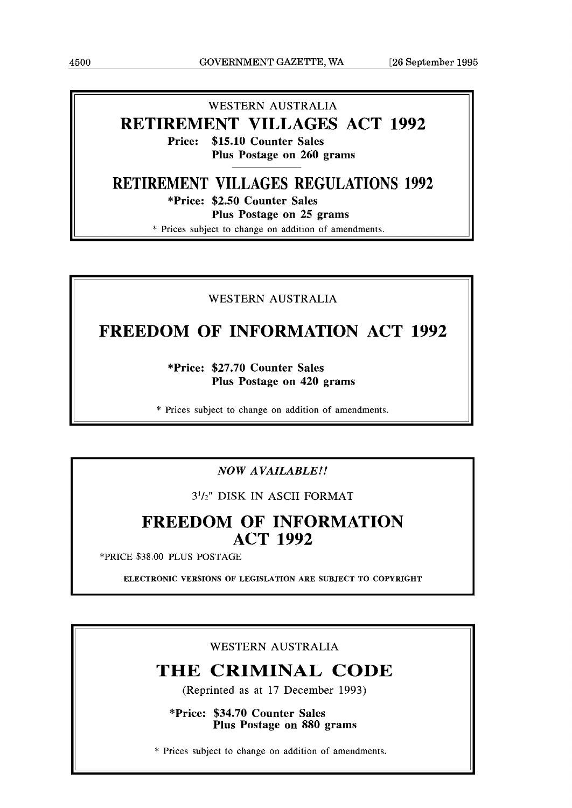#### WESTERN AUSTRALIA

# **RETIREMENT VILLAGES ACT 1992**

**Price: \$15.10 Counter Sales Plus Postage on 260 grams** 

# **RETIREMENT VILLAGES REGULATIONS 1992**

**"Price: \$2.50 Counter Sales** 

**Plus Postage on 25 grams** 

\* Prices subiect to change on addition of amendments.

#### WESTERN AUSTRALIA

# **FREEDOM OF INFORMATION ACT 1992**

**"Price: \$27.70 Counter Sales Plus Postage on 420 grams** 

\* Prices subject to change on addition of amendments.

### *NOW AVAILABLE!!*

3'12" DISK IN ASCII FORMAT

# **FREEDOM OF INFORMATION ACT 1992**

\*PRICE \$38.00 PLUS POSTAGE

**ELECTRONIC VERSIONS OF LEGISLATION ARE SUBJECT TO COPYRIGHT** 

#### WESTERN AUSTRALIA

# **THE CRIMINAL CODE**

(Reprinted as at 17 December 1993)

**"Price: \$34.70 Counter Sales Plus Postage on 880 grams** 

\* Prices subject to change on addition of amendments.

 $\parallel$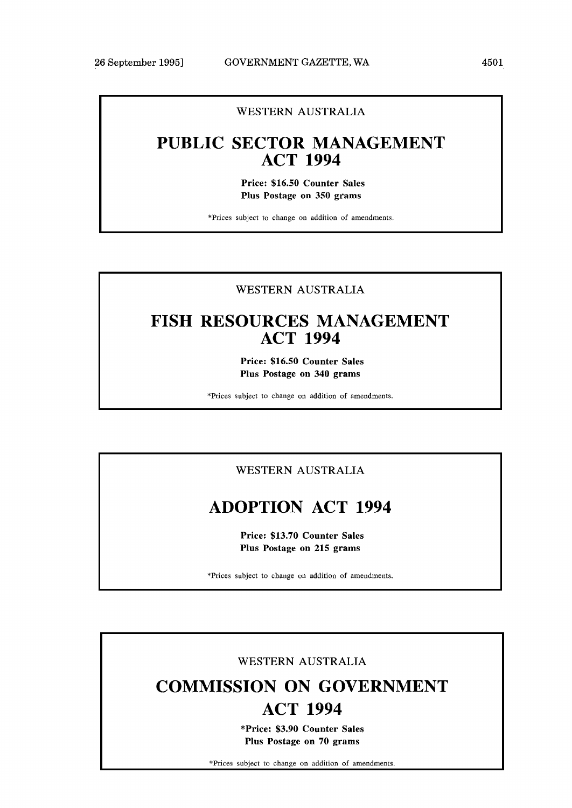#### WESTERN AUSTRALIA

# **PUBLIC SECTOR MANAGEMENT ACT 1994**

**Price: \$16.50 Counter Sales Plus Postage on 350 grams** 

\*Prices subject to change on addition of amendments.

#### WESTERN AUSTRALIA

# **FISH RESOURCES MANAGEMENT ACT 1994**

**Price: \$16.50 Counter Sales Plus Postage on 340 grams** 

\*Prices subject to change on addition of amendments.

#### WESTERN AUSTRALIA

# **ADOPTION ACT 1994**

**Price: \$13.70 Counter Sales Plus Postage on 215 grams** 

\*Prices subject to change on addition of amendments.

#### WESTERN AUSTRALIA

# **COMMISSION ON GOVERNMENT ACT 1994**

**\*Price: \$3.90 Counter Sales Plus Postage on 70 grams** 

\*Prices subiect to change on addition of amendments.